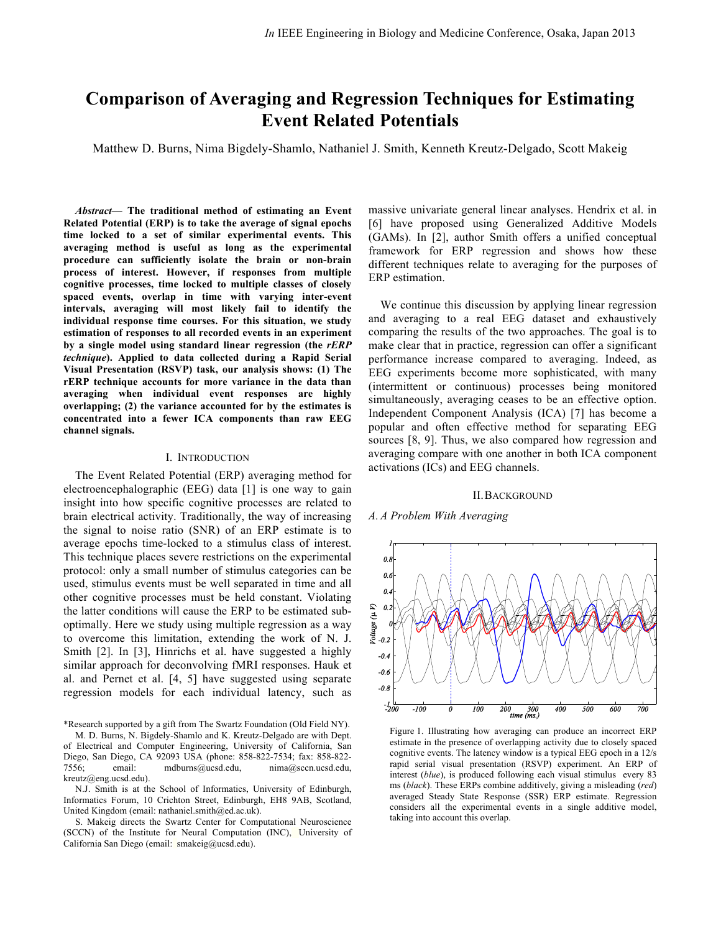# **Comparison of Averaging and Regression Techniques for Estimating Event Related Potentials**

Matthew D. Burns, Nima Bigdely-Shamlo, Nathaniel J. Smith, Kenneth Kreutz-Delgado, Scott Makeig

*Abstract***— The traditional method of estimating an Event Related Potential (ERP) is to take the average of signal epochs time locked to a set of similar experimental events. This averaging method is useful as long as the experimental procedure can sufficiently isolate the brain or non-brain process of interest. However, if responses from multiple cognitive processes, time locked to multiple classes of closely spaced events, overlap in time with varying inter-event intervals, averaging will most likely fail to identify the individual response time courses. For this situation, we study estimation of responses to all recorded events in an experiment by a single model using standard linear regression (the** *rERP technique***). Applied to data collected during a Rapid Serial Visual Presentation (RSVP) task, our analysis shows: (1) The rERP technique accounts for more variance in the data than averaging when individual event responses are highly overlapping; (2) the variance accounted for by the estimates is concentrated into a fewer ICA components than raw EEG channel signals.**

#### I. INTRODUCTION

The Event Related Potential (ERP) averaging method for electroencephalographic (EEG) data [1] is one way to gain insight into how specific cognitive processes are related to brain electrical activity. Traditionally, the way of increasing the signal to noise ratio (SNR) of an ERP estimate is to average epochs time-locked to a stimulus class of interest. This technique places severe restrictions on the experimental protocol: only a small number of stimulus categories can be used, stimulus events must be well separated in time and all other cognitive processes must be held constant. Violating the latter conditions will cause the ERP to be estimated suboptimally. Here we study using multiple regression as a way to overcome this limitation, extending the work of N. J. Smith [2]. In [3], Hinrichs et al. have suggested a highly similar approach for deconvolving fMRI responses. Hauk et al. and Pernet et al. [4, 5] have suggested using separate regression models for each individual latency, such as

\*Research supported by a gift from The Swartz Foundation (Old Field NY).

M. D. Burns, N. Bigdely-Shamlo and K. Kreutz-Delgado are with Dept. of Electrical and Computer Engineering, University of California, San Diego, San Diego, CA 92093 USA (phone: 858-822-7534; fax: 858-822- 7556; email: mdburns@ucsd.edu, nima@sccn.ucsd.edu, kreutz@eng.ucsd.edu).

N.J. Smith is at the School of Informatics, University of Edinburgh, Informatics Forum, 10 Crichton Street, Edinburgh, EH8 9AB, Scotland, United Kingdom (email: nathaniel.smith@ed.ac.uk).

S. Makeig directs the Swartz Center for Computational Neuroscience (SCCN) of the Institute for Neural Computation (INC), University of California San Diego (email: smakeig@ucsd.edu).

massive univariate general linear analyses. Hendrix et al. in [6] have proposed using Generalized Additive Models (GAMs). In [2], author Smith offers a unified conceptual framework for ERP regression and shows how these different techniques relate to averaging for the purposes of ERP estimation.

We continue this discussion by applying linear regression and averaging to a real EEG dataset and exhaustively comparing the results of the two approaches. The goal is to make clear that in practice, regression can offer a significant performance increase compared to averaging. Indeed, as EEG experiments become more sophisticated, with many (intermittent or continuous) processes being monitored simultaneously, averaging ceases to be an effective option. Independent Component Analysis (ICA) [7] has become a popular and often effective method for separating EEG sources [8, 9]. Thus, we also compared how regression and averaging compare with one another in both ICA component activations (ICs) and EEG channels.

#### II.BACKGROUND

# *A. A Problem With Averaging*



Figure 1. Illustrating how averaging can produce an incorrect ERP estimate in the presence of overlapping activity due to closely spaced cognitive events. The latency window is a typical EEG epoch in a 12/s rapid serial visual presentation (RSVP) experiment. An ERP of interest (*blue*), is produced following each visual stimulus every 83 ms (*black*). These ERPs combine additively, giving a misleading (*red*) averaged Steady State Response (SSR) ERP estimate. Regression considers all the experimental events in a single additive model, taking into account this overlap.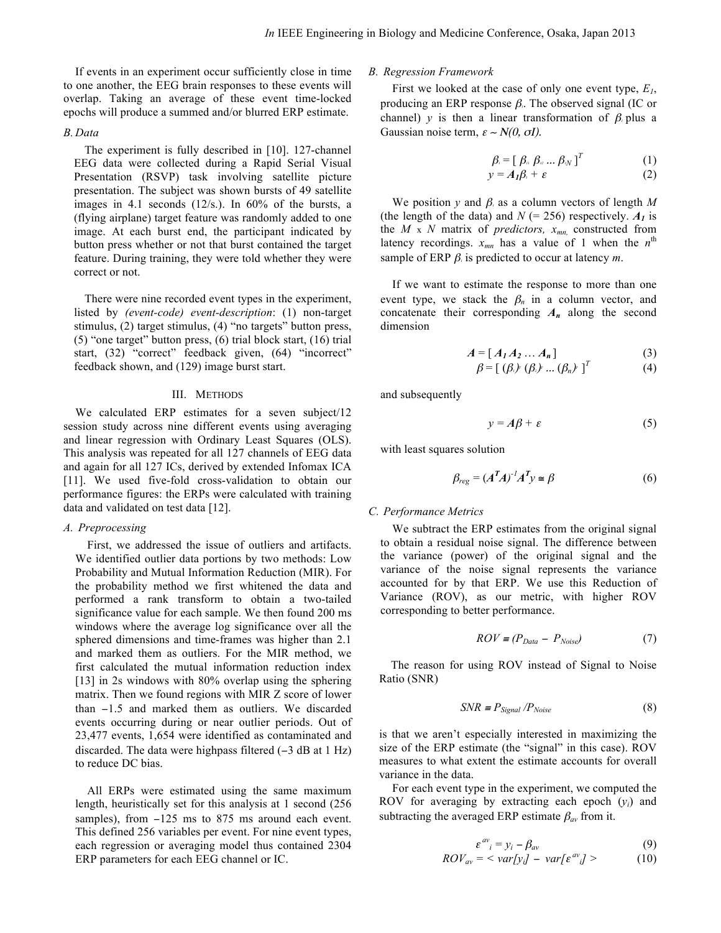If events in an experiment occur sufficiently close in time to one another, the EEG brain responses to these events will overlap. Taking an average of these event time-locked epochs will produce a summed and/or blurred ERP estimate.

## *B. Data*

The experiment is fully described in [10]. 127-channel EEG data were collected during a Rapid Serial Visual Presentation (RSVP) task involving satellite picture presentation. The subject was shown bursts of 49 satellite images in 4.1 seconds (12/s.). In 60% of the bursts, a (flying airplane) target feature was randomly added to one image. At each burst end, the participant indicated by button press whether or not that burst contained the target feature. During training, they were told whether they were correct or not.

There were nine recorded event types in the experiment, listed by *(event-code) event-description*: (1) non-target stimulus, (2) target stimulus, (4) "no targets" button press, (5) "one target" button press, (6) trial block start, (16) trial start, (32) "correct" feedback given, (64) "incorrect" feedback shown, and (129) image burst start.

## III. METHODS

We calculated ERP estimates for a seven subject/12 session study across nine different events using averaging and linear regression with Ordinary Least Squares (OLS). This analysis was repeated for all 127 channels of EEG data and again for all 127 ICs, derived by extended Infomax ICA [11]. We used five-fold cross-validation to obtain our performance figures: the ERPs were calculated with training data and validated on test data [12].

## *A. Preprocessing*

First, we addressed the issue of outliers and artifacts. We identified outlier data portions by two methods: Low Probability and Mutual Information Reduction (MIR). For the probability method we first whitened the data and performed a rank transform to obtain a two-tailed significance value for each sample. We then found 200 ms windows where the average log significance over all the sphered dimensions and time-frames was higher than 2.1 and marked them as outliers. For the MIR method, we first calculated the mutual information reduction index [13] in 2s windows with 80% overlap using the sphering matrix. Then we found regions with MIR Z score of lower than −1.5 and marked them as outliers. We discarded events occurring during or near outlier periods. Out of 23,477 events, 1,654 were identified as contaminated and discarded. The data were highpass filtered (−3 dB at 1 Hz) to reduce DC bias.

All ERPs were estimated using the same maximum length, heuristically set for this analysis at 1 second (256 samples), from −125 ms to 875 ms around each event. This defined 256 variables per event. For nine event types, each regression or averaging model thus contained 2304 ERP parameters for each EEG channel or IC.

# *B. Regression Framework*

First we looked at the case of only one event type, *E1*, producing an ERP response  $\beta$ . The observed signal (IC or channel) *y* is then a linear transformation of  $\beta$  plus a Gaussian noise term,  $\varepsilon \sim N(0, \sigma I)$ .

$$
\beta_i = [\beta_{ii} \beta_{ii} ... \beta_{iN}]^T
$$
\n
$$
y = A_1 \beta_i + \varepsilon
$$
\n(1)\n(2)

We position *y* and  $\beta$  as a column vectors of length *M* (the length of the data) and  $N$  (= 256) respectively.  $A<sub>I</sub>$  is the  $M \times N$  matrix of *predictors,*  $x_{mn}$  constructed from latency recordings.  $x_{mn}$  has a value of 1 when the  $n^{\text{th}}$ sample of ERP  $\beta$ <sub>i</sub> is predicted to occur at latency *m*.

If we want to estimate the response to more than one event type, we stack the  $\beta_n$  in a column vector, and concatenate their corresponding  $A_n$  along the second dimension

$$
A = [A_1 A_2 \dots A_n]
$$
 (3)

$$
\beta = \left[ \left( \beta_{1} \right)^{r} \left( \beta_{2} \right)^{r} \dots \left( \beta_{n} \right)^{r} \right]^{T}
$$
 (4)

and subsequently

$$
y = A\beta + \varepsilon \tag{5}
$$

with least squares solution

$$
\beta_{reg} = (A^T A)^{-1} A^T y \cong \beta \tag{6}
$$

#### *C. Performance Metrics*

We subtract the ERP estimates from the original signal to obtain a residual noise signal. The difference between the variance (power) of the original signal and the variance of the noise signal represents the variance accounted for by that ERP. We use this Reduction of Variance (ROV), as our metric, with higher ROV corresponding to better performance.

$$
ROV = (P_{Data} - P_{Noise}) \tag{7}
$$

The reason for using ROV instead of Signal to Noise Ratio (SNR)

$$
SNR \equiv P_{Signal} / P_{Noise} \tag{8}
$$

is that we aren't especially interested in maximizing the size of the ERP estimate (the "signal" in this case). ROV measures to what extent the estimate accounts for overall variance in the data.

For each event type in the experiment, we computed the ROV for averaging by extracting each epoch (*yi*) and subtracting the averaged ERP estimate  $\beta_{av}$  from it.

$$
\varepsilon^{av}{}_{i} = y_{i} - \beta_{av}
$$
\n(9)  
\n
$$
ROV_{av} = \langle var[y_{i}] - var[\varepsilon^{av}{}_{i}] \rangle
$$
\n(10)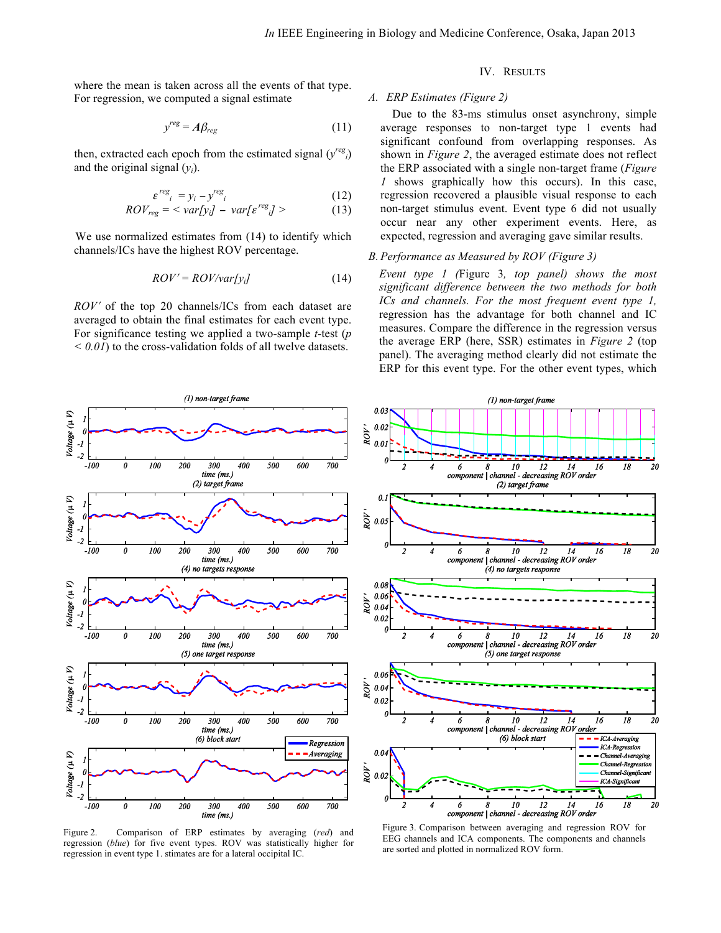where the mean is taken across all the events of that type. For regression, we computed a signal estimate

$$
y^{reg} = A\beta_{reg} \tag{11}
$$

then, extracted each epoch from the estimated signal (*y regi*) and the original signal  $(v_i)$ .

$$
\varepsilon^{reg}_i = y_i - y^{reg}_i \tag{12}
$$

$$
ROV_{reg} = \langle var[y_i] - var[\varepsilon^{reg_i}] \rangle \qquad (13)
$$

We use normalized estimates from (14) to identify which channels/ICs have the highest ROV percentage.

$$
ROV' = ROV/var[y_i] \tag{14}
$$

*ROV*<sup>'</sup> of the top 20 channels/ICs from each dataset are averaged to obtain the final estimates for each event type. For significance testing we applied a two-sample *t*-test (*p < 0.01*) to the cross-validation folds of all twelve datasets.

# IV. RESULTS

# *A. ERP Estimates (Figure 2)*

Due to the 83-ms stimulus onset asynchrony, simple average responses to non-target type 1 events had significant confound from overlapping responses. As shown in *Figure 2*, the averaged estimate does not reflect the ERP associated with a single non-target frame (*Figure 1* shows graphically how this occurs). In this case, regression recovered a plausible visual response to each non-target stimulus event. Event type 6 did not usually occur near any other experiment events. Here, as expected, regression and averaging gave similar results.

## *B. Performance as Measured by ROV (Figure 3)*

*Event type 1 (*Figure 3*, top panel) shows the most significant difference between the two methods for both ICs and channels. For the most frequent event type 1,*  regression has the advantage for both channel and IC measures. Compare the difference in the regression versus the average ERP (here, SSR) estimates in *Figure 2* (top panel). The averaging method clearly did not estimate the ERP for this event type. For the other event types, which

(1) non-target frame



Figure 2. Comparison of ERP estimates by averaging (*red*) and regression (*blue*) for five event types. ROV was statistically higher for regression in event type 1. stimates are for a lateral occipital IC.



Figure 3. Comparison between averaging and regression ROV for EEG channels and ICA components. The components and channels are sorted and plotted in normalized ROV form.